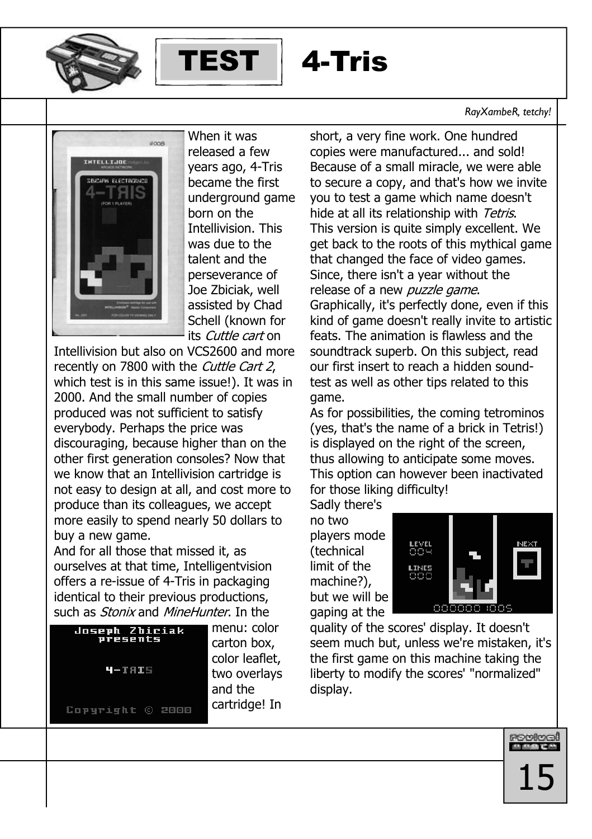



# 4-Tris

## RayXambeR, tetchy!



When it was released a few vears ago, 4-Tris became the first underground game horn on the **Intellivision. This** was due to the talent and the perseverance of Joe Zbiciak, well assisted by Chad Schell (known for its Cuttle cart on

Intellivision but also on VCS2600 and more recently on 7800 with the Cuttle Cart 2, which test is in this same issue!). It was in 2000. And the small number of copies produced was not sufficient to satisfy everybody. Perhaps the price was discouraging, because higher than on the other first generation consoles? Now that we know that an Intellivision cartridge is not easy to design at all, and cost more to produce than its colleagues, we accept more easily to spend nearly 50 dollars to buy a new game.

And for all those that missed it, as ourselves at that time, Intelligentvision offers a re-issue of 4-Tris in packaging identical to their previous productions, such as *Stonix* and *MineHunter*. In the



menu: color carton box. color leaflet. two overlays and the cartridge! In short, a very fine work. One hundred copies were manufactured... and sold! Because of a small miracle, we were able to secure a copy, and that's how we invite you to test a game which name doesn't hide at all its relationship with Tetris. This version is quite simply excellent. We get back to the roots of this mythical game that changed the face of video games. Since, there isn't a year without the release of a new puzzle game. Graphically, it's perfectly done, even if this kind of game doesn't really invite to artistic feats. The animation is flawless and the soundtrack superb. On this subject, read our first insert to reach a hidden soundtest as well as other tips related to this game.

As for possibilities, the coming tetrominos (yes, that's the name of a brick in Tetris!) is displayed on the right of the screen. thus allowing to anticipate some moves. This option can however been inactivated for those liking difficulty!

Sadly there's no two players mode *(technical* limit of the machine?), but we will be gaping at the



rovival<br>Municipal

quality of the scores' display. It doesn't seem much but, unless we're mistaken, it's the first game on this machine taking the liberty to modify the scores' "normalized" display.